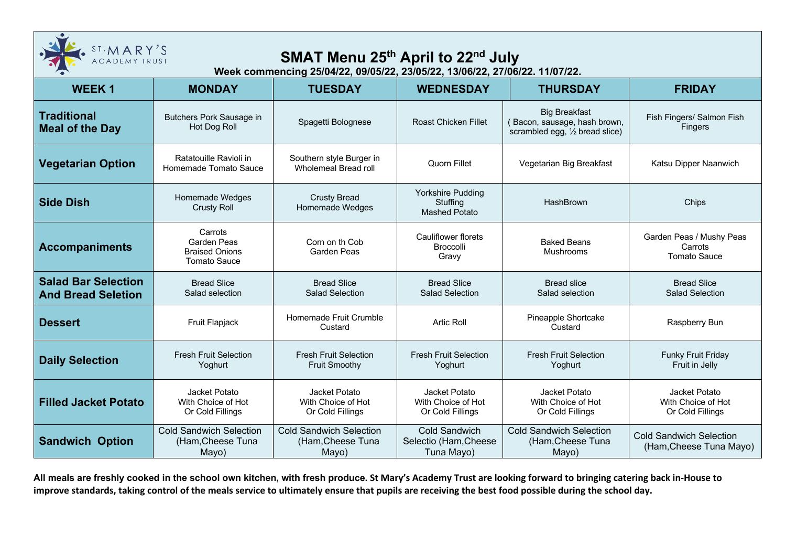

## **SMAT Menu 25th April to 22nd July**

**Week commencing 25/04/22, 09/05/22, 23/05/22, 13/06/22, 27/06/22. 11/07/22.**

| <b>WEEK1</b>                                            | <b>MONDAY</b>                                                          | <b>TUESDAY</b>                                               | <b>WEDNESDAY</b>                                             | <b>THURSDAY</b>                                                                         | <b>FRIDAY</b>                                              |
|---------------------------------------------------------|------------------------------------------------------------------------|--------------------------------------------------------------|--------------------------------------------------------------|-----------------------------------------------------------------------------------------|------------------------------------------------------------|
| <b>Traditional</b><br><b>Meal of the Day</b>            | Butchers Pork Sausage in<br>Hot Dog Roll                               | Spagetti Bolognese                                           | <b>Roast Chicken Fillet</b>                                  | <b>Big Breakfast</b><br>(Bacon, sausage, hash brown,<br>scrambled egg, 1/2 bread slice) | Fish Fingers/ Salmon Fish<br>Fingers                       |
| <b>Vegetarian Option</b>                                | Ratatouille Ravioli in<br>Homemade Tomato Sauce                        | Southern style Burger in<br><b>Wholemeal Bread roll</b>      | Quorn Fillet                                                 | Vegetarian Big Breakfast                                                                | Katsu Dipper Naanwich                                      |
| <b>Side Dish</b>                                        | Homemade Wedges<br><b>Crusty Roll</b>                                  | <b>Crusty Bread</b><br>Homemade Wedges                       | <b>Yorkshire Pudding</b><br>Stuffing<br><b>Mashed Potato</b> | HashBrown                                                                               | Chips                                                      |
| <b>Accompaniments</b>                                   | Carrots<br>Garden Peas<br><b>Braised Onions</b><br><b>Tomato Sauce</b> | Corn on th Cob<br>Garden Peas                                | <b>Cauliflower florets</b><br><b>Broccolli</b><br>Gravy      | <b>Baked Beans</b><br>Mushrooms                                                         | Garden Peas / Mushy Peas<br>Carrots<br><b>Tomato Sauce</b> |
| <b>Salad Bar Selection</b><br><b>And Bread Seletion</b> | <b>Bread Slice</b><br>Salad selection                                  | <b>Bread Slice</b><br><b>Salad Selection</b>                 | <b>Bread Slice</b><br><b>Salad Selection</b>                 | <b>Bread slice</b><br>Salad selection                                                   | <b>Bread Slice</b><br><b>Salad Selection</b>               |
| <b>Dessert</b>                                          | Fruit Flapjack                                                         | Homemade Fruit Crumble<br>Custard                            | Artic Roll                                                   | Pineapple Shortcake<br>Custard                                                          | Raspberry Bun                                              |
| <b>Daily Selection</b>                                  | <b>Fresh Fruit Selection</b><br>Yoghurt                                | <b>Fresh Fruit Selection</b><br><b>Fruit Smoothy</b>         | <b>Fresh Fruit Selection</b><br>Yoghurt                      | <b>Fresh Fruit Selection</b><br>Yoghurt                                                 | <b>Funky Fruit Friday</b><br>Fruit in Jelly                |
| <b>Filled Jacket Potato</b>                             | Jacket Potato<br>With Choice of Hot<br>Or Cold Fillings                | Jacket Potato<br>With Choice of Hot<br>Or Cold Fillings      | Jacket Potato<br>With Choice of Hot<br>Or Cold Fillings      | Jacket Potato<br>With Choice of Hot<br>Or Cold Fillings                                 | Jacket Potato<br>With Choice of Hot<br>Or Cold Fillings    |
| <b>Sandwich Option</b>                                  | <b>Cold Sandwich Selection</b><br>(Ham, Cheese Tuna<br>Mayo)           | <b>Cold Sandwich Selection</b><br>(Ham, Cheese Tuna<br>Mayo) | <b>Cold Sandwich</b><br>Selectio (Ham, Cheese<br>Tuna Mayo)  | <b>Cold Sandwich Selection</b><br>(Ham, Cheese Tuna<br>Mayo)                            | <b>Cold Sandwich Selection</b><br>(Ham, Cheese Tuna Mayo)  |

**All meals are freshly cooked in the school own kitchen, with fresh produce. St Mary's Academy Trust are looking forward to bringing catering back in-House to improve standards, taking control of the meals service to ultimately ensure that pupils are receiving the best food possible during the school day.**